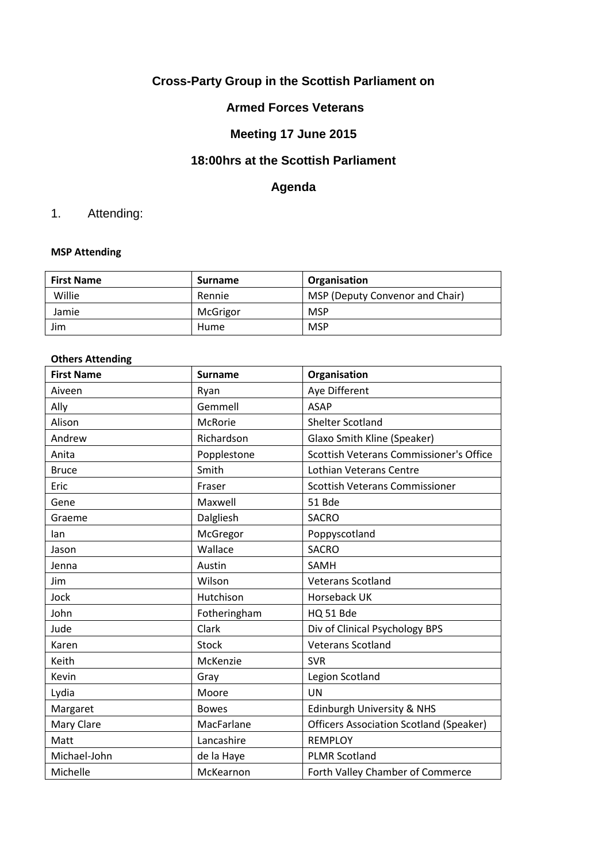# **Cross-Party Group in the Scottish Parliament on**

## **Armed Forces Veterans**

## **Meeting 17 June 2015**

#### **18:00hrs at the Scottish Parliament**

## **Agenda**

# 1. Attending:

#### **MSP Attending**

| <b>First Name</b> | <b>Surname</b> | Organisation                    |
|-------------------|----------------|---------------------------------|
| Willie            | Rennie         | MSP (Deputy Convenor and Chair) |
| Jamie             | McGrigor       | <b>MSP</b>                      |
| Jim               | Hume           | MSP                             |

#### **Others Attending**

| <b>First Name</b> | <b>Surname</b> | Organisation                                   |
|-------------------|----------------|------------------------------------------------|
| Aiveen            | Ryan           | Aye Different                                  |
| Ally              | Gemmell        | <b>ASAP</b>                                    |
| Alison            | <b>McRorie</b> | <b>Shelter Scotland</b>                        |
| Andrew            | Richardson     | Glaxo Smith Kline (Speaker)                    |
| Anita             | Popplestone    | Scottish Veterans Commissioner's Office        |
| <b>Bruce</b>      | Smith          | <b>Lothian Veterans Centre</b>                 |
| Eric              | Fraser         | <b>Scottish Veterans Commissioner</b>          |
| Gene              | Maxwell        | 51 Bde                                         |
| Graeme            | Dalgliesh      | <b>SACRO</b>                                   |
| lan               | McGregor       | Poppyscotland                                  |
| Jason             | Wallace        | <b>SACRO</b>                                   |
| Jenna             | Austin         | <b>SAMH</b>                                    |
| Jim               | Wilson         | <b>Veterans Scotland</b>                       |
| Jock              | Hutchison      | Horseback UK                                   |
| John              | Fotheringham   | HQ 51 Bde                                      |
| Jude              | Clark          | Div of Clinical Psychology BPS                 |
| Karen             | <b>Stock</b>   | <b>Veterans Scotland</b>                       |
| Keith             | McKenzie       | <b>SVR</b>                                     |
| Kevin             | Gray           | Legion Scotland                                |
| Lydia             | Moore          | UN                                             |
| Margaret          | <b>Bowes</b>   | <b>Edinburgh University &amp; NHS</b>          |
| Mary Clare        | MacFarlane     | <b>Officers Association Scotland (Speaker)</b> |
| Matt              | Lancashire     | <b>REMPLOY</b>                                 |
| Michael-John      | de la Haye     | <b>PLMR Scotland</b>                           |
| Michelle          | McKearnon      | Forth Valley Chamber of Commerce               |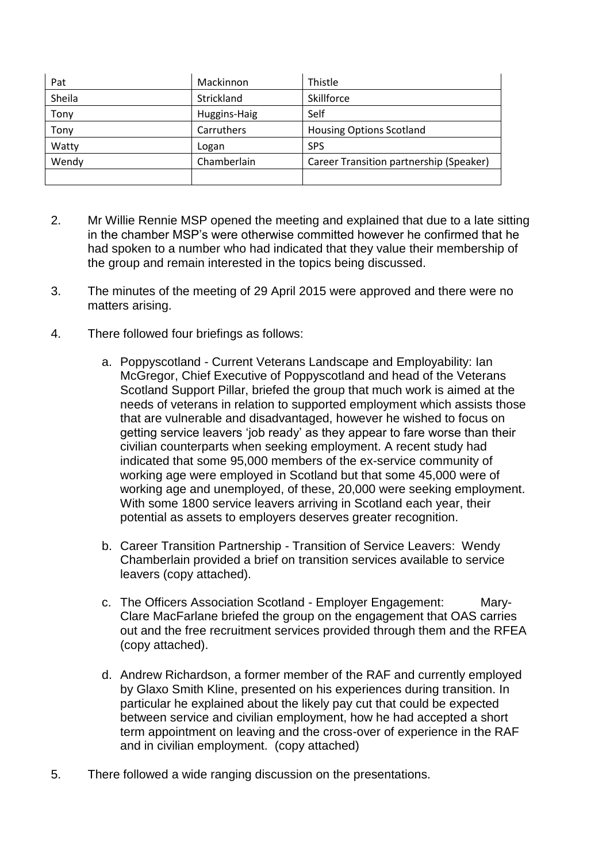| Pat    | Mackinnon    | Thistle                                 |
|--------|--------------|-----------------------------------------|
| Sheila | Strickland   | Skillforce                              |
| Tony   | Huggins-Haig | Self                                    |
| Tony   | Carruthers   | <b>Housing Options Scotland</b>         |
| Watty  | Logan        | <b>SPS</b>                              |
| Wendy  | Chamberlain  | Career Transition partnership (Speaker) |
|        |              |                                         |

- 2. Mr Willie Rennie MSP opened the meeting and explained that due to a late sitting in the chamber MSP's were otherwise committed however he confirmed that he had spoken to a number who had indicated that they value their membership of the group and remain interested in the topics being discussed.
- 3. The minutes of the meeting of 29 April 2015 were approved and there were no matters arising.
- 4. There followed four briefings as follows:
	- a. Poppyscotland Current Veterans Landscape and Employability: Ian McGregor, Chief Executive of Poppyscotland and head of the Veterans Scotland Support Pillar, briefed the group that much work is aimed at the needs of veterans in relation to supported employment which assists those that are vulnerable and disadvantaged, however he wished to focus on getting service leavers 'job ready' as they appear to fare worse than their civilian counterparts when seeking employment. A recent study had indicated that some 95,000 members of the ex-service community of working age were employed in Scotland but that some 45,000 were of working age and unemployed, of these, 20,000 were seeking employment. With some 1800 service leavers arriving in Scotland each year, their potential as assets to employers deserves greater recognition.
	- b. Career Transition Partnership Transition of Service Leavers: Wendy Chamberlain provided a brief on transition services available to service leavers (copy attached).
	- c. The Officers Association Scotland Employer Engagement: Mary-Clare MacFarlane briefed the group on the engagement that OAS carries out and the free recruitment services provided through them and the RFEA (copy attached).
	- d. Andrew Richardson, a former member of the RAF and currently employed by Glaxo Smith Kline, presented on his experiences during transition. In particular he explained about the likely pay cut that could be expected between service and civilian employment, how he had accepted a short term appointment on leaving and the cross-over of experience in the RAF and in civilian employment. (copy attached)
- 5. There followed a wide ranging discussion on the presentations.